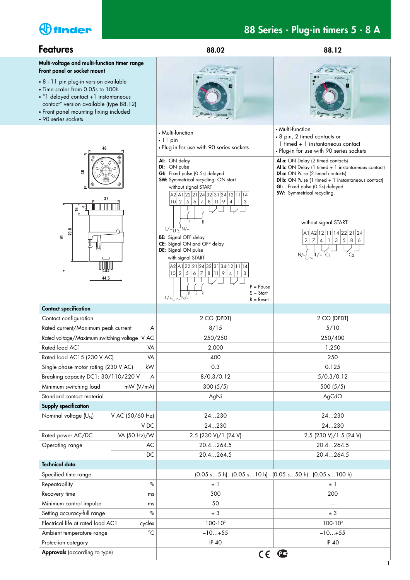

**1**

| <b>Features</b>                                                                                                                                                                                                                 | 88.02                                                                                                                                                                                                                                                    | 88.12                                                                                                                                                                                                                |  |  |
|---------------------------------------------------------------------------------------------------------------------------------------------------------------------------------------------------------------------------------|----------------------------------------------------------------------------------------------------------------------------------------------------------------------------------------------------------------------------------------------------------|----------------------------------------------------------------------------------------------------------------------------------------------------------------------------------------------------------------------|--|--|
| Multi-voltage and multi-function timer range<br>Front panel or socket mount                                                                                                                                                     |                                                                                                                                                                                                                                                          |                                                                                                                                                                                                                      |  |  |
| • 8 - 11 pin plug-in version available<br>• Time scales from 0.05s to 100h<br>• "1 delayed contact +1 instantaneous<br>contact" version available (type 88.12)<br>• Front panel mounting fixing included<br>• 90 series sockets | <b>Турн Яв.да</b>                                                                                                                                                                                                                                        |                                                                                                                                                                                                                      |  |  |
| 48                                                                                                                                                                                                                              | • Multi-function<br>$\cdot$ 11 pin<br>. Plug-in for use with 90 series sockets<br>AI: ON delay                                                                                                                                                           | • Multi-function<br>• 8 pin, 2 timed contacts or<br>1 timed + 1 instantaneous contact<br>• Plug-in for use with 90 series sockets<br>Al a: ON Delay (2 timed contacts)                                               |  |  |
| \$<br>37<br>9<br>۴                                                                                                                                                                                                              | DI: ON pulse<br>GI: Fixed pulse (0.5s) delayed<br><b>SW:</b> Symmetrical recycling: ON start<br>without signal START<br>A2 A1 22 21 24 32 31 34 12 11 14<br> 10 2 5 6 7<br>8 11 9<br>4                                                                   | Al b: ON Delay (1 timed + 1 instantaneous contact)<br>Dl a: ON Pulse (2 timed contacts)<br>DI b: ON Pulse (1 timed + 1 instantaneous contact)<br>GI: Fixed pulse (0.5s) delayed<br><b>SW:</b> Symmetrical recycling. |  |  |
| 79.5<br>S,                                                                                                                                                                                                                      | R<br>$L/+\frac{1}{U}\sim N/-\frac{1}{U}$<br><b>BE:</b> Signal OFF delay<br>CE: Signal ON and OFF delay<br>DE: Signal ON pulse<br>with signal START<br>A2 A1 22 21 24 32 31 34 12 11 14<br>2 5 6 7<br>8 11 9<br>10 <sup>1</sup><br>3<br>4<br>$\mathbf{1}$ | without signal START<br>A1 A2 12 11 14 22 21 24<br>$\sqrt{3}$<br>$\overline{2}$<br>$\mathfrak{S}$<br>7<br>8 <sup>1</sup><br>$\overline{4}$<br>-1<br>6<br>$N/\frac{1}{U}$ $N^2$ $(1/2)$<br>C <sub>2</sub>             |  |  |
| 44.5                                                                                                                                                                                                                            | $P = Pause$<br>$S = Start$<br>S<br>R<br>$L/+\frac{1}{U} \sim N/$<br>$R =$ Reset                                                                                                                                                                          |                                                                                                                                                                                                                      |  |  |
| <b>Contact specification</b><br>Contact configuration                                                                                                                                                                           | 2 CO (DPDT)                                                                                                                                                                                                                                              |                                                                                                                                                                                                                      |  |  |
| Rated current/Maximum peak current<br>A                                                                                                                                                                                         | 8/15                                                                                                                                                                                                                                                     | 2 CO (DPDT)<br>5/10                                                                                                                                                                                                  |  |  |
| Rated voltage/Maximum switching voltage V AC                                                                                                                                                                                    | 250/250                                                                                                                                                                                                                                                  | 250/400                                                                                                                                                                                                              |  |  |
| Rated load AC1<br>VA                                                                                                                                                                                                            | 2,000                                                                                                                                                                                                                                                    | 1,250                                                                                                                                                                                                                |  |  |
| Rated load AC15 (230 V AC)<br>VA                                                                                                                                                                                                | 400                                                                                                                                                                                                                                                      | 250                                                                                                                                                                                                                  |  |  |
| Single phase motor rating (230 V AC)<br>kW                                                                                                                                                                                      | 0.3                                                                                                                                                                                                                                                      | 0.125                                                                                                                                                                                                                |  |  |
| Breaking capacity DC1: 30/110/220 V<br>A                                                                                                                                                                                        | 8/0.3/0.12                                                                                                                                                                                                                                               | 5/0.3/0.12                                                                                                                                                                                                           |  |  |
| Minimum switching load<br>mW (V/mA)                                                                                                                                                                                             | 300(5/5)                                                                                                                                                                                                                                                 | 500 (5/5)                                                                                                                                                                                                            |  |  |
| Standard contact material                                                                                                                                                                                                       | AgNi                                                                                                                                                                                                                                                     | AgCdO                                                                                                                                                                                                                |  |  |
| <b>Supply specification</b>                                                                                                                                                                                                     |                                                                                                                                                                                                                                                          |                                                                                                                                                                                                                      |  |  |
| Nominal voltage (U <sub>N</sub> )<br>V AC (50/60 Hz)                                                                                                                                                                            | 24230                                                                                                                                                                                                                                                    | 24230                                                                                                                                                                                                                |  |  |
| V DC                                                                                                                                                                                                                            | 24230                                                                                                                                                                                                                                                    | 24230                                                                                                                                                                                                                |  |  |
| VA (50 Hz)/W<br>Rated power AC/DC                                                                                                                                                                                               | 2.5 (230 V)/1 (24 V)                                                                                                                                                                                                                                     | 2.5 (230 V)/1.5 (24 V)                                                                                                                                                                                               |  |  |
| Operating range<br>AС                                                                                                                                                                                                           | 20.4264.5                                                                                                                                                                                                                                                | 20.4264.5                                                                                                                                                                                                            |  |  |
| DC                                                                                                                                                                                                                              | 20.4264.5                                                                                                                                                                                                                                                | 20.4264.5                                                                                                                                                                                                            |  |  |
| <b>Technical data</b>                                                                                                                                                                                                           |                                                                                                                                                                                                                                                          |                                                                                                                                                                                                                      |  |  |
| Specified time range                                                                                                                                                                                                            | $(0.05 s5 h)$ - $(0.05 s10 h)$ - $(0.05 s50 h)$ - $(0.05 s100 h)$                                                                                                                                                                                        |                                                                                                                                                                                                                      |  |  |
| $\%$<br>Repeatability                                                                                                                                                                                                           | $\pm$ 1                                                                                                                                                                                                                                                  | $\pm$ 1                                                                                                                                                                                                              |  |  |
| Recovery time<br>ms                                                                                                                                                                                                             | 300                                                                                                                                                                                                                                                      | 200                                                                                                                                                                                                                  |  |  |
| Minimum control impulse<br>ms                                                                                                                                                                                                   | 50                                                                                                                                                                                                                                                       |                                                                                                                                                                                                                      |  |  |
| Setting accuracy-full range<br>$\%$                                                                                                                                                                                             | ± 3                                                                                                                                                                                                                                                      | $\pm$ 3                                                                                                                                                                                                              |  |  |
| Electrical life at rated load AC1<br>cycles                                                                                                                                                                                     | $100 \cdot 10^{3}$                                                                                                                                                                                                                                       | $100 \cdot 10^{3}$                                                                                                                                                                                                   |  |  |
| $^{\circ}C$<br>Ambient temperature range                                                                                                                                                                                        | $-10+55$                                                                                                                                                                                                                                                 | $-10+55$                                                                                                                                                                                                             |  |  |
| Protection category                                                                                                                                                                                                             | IP 40                                                                                                                                                                                                                                                    | <b>IP 40</b>                                                                                                                                                                                                         |  |  |
| Approvals (according to type)                                                                                                                                                                                                   | $\epsilon$                                                                                                                                                                                                                                               | $\mathbf{C}$                                                                                                                                                                                                         |  |  |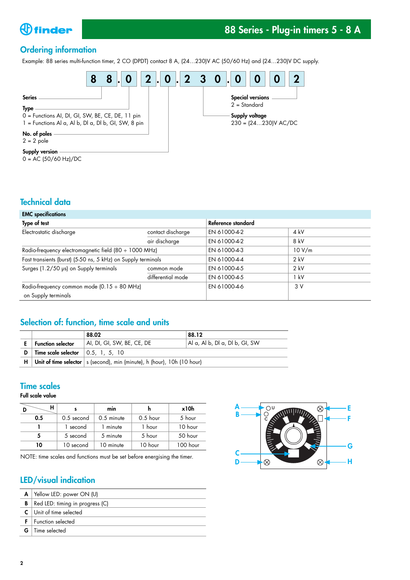

# **88 Series - Plug-in timers 5 - 8 A**

# **Ordering information**

Example: 88 series multi-function timer, 2 CO (DPDT) contact 8 A, (24…230)V AC (50/60 Hz) and (24…230)V DC supply.



 $0 = AC (50/60 Hz)/DC$ 

### **Technical data**

| <b>EMC</b> specifications                                          |                   |                    |        |
|--------------------------------------------------------------------|-------------------|--------------------|--------|
| Type of test                                                       |                   | Reference standard |        |
| Electrostatic discharge                                            | contact discharge | EN 61000-4-2       | 4 kV   |
|                                                                    | air discharge     | EN 61000-4-2       | 8 kV   |
| Radio-frequency electromagnetic field $(80 \div 1000 \text{ MHz})$ |                   | EN 61000-4-3       | 10 V/m |
| Fast transients (burst) (5-50 ns, 5 kHz) on Supply terminals       |                   | EN 61000-4-4       | $2$ kV |
| Surges (1.2/50 µs) on Supply terminals                             | common mode       | EN 61000-4-5       | $2$ kV |
|                                                                    | differential mode | EN 61000-4-5       | 1 kV   |
| Radio-frequency common mode (0.15 ÷ 80 MHz)                        |                   | EN 61000-4-6       | 3V     |
| on Supply terminals                                                |                   |                    |        |

# **Selection of: function, time scale and units**

|   |                                                   | 88.02                                                                           | 88.12                              |  |  |
|---|---------------------------------------------------|---------------------------------------------------------------------------------|------------------------------------|--|--|
|   | <b>Function selector</b>                          | AI, DI, GI, SW, BE, CE, DE                                                      | $ $ Al a, Al b, Dl a, Dl b, GI, SW |  |  |
| D | Time scale selector $\vert 0.5, 1, 5, 10 \rangle$ |                                                                                 |                                    |  |  |
|   |                                                   | $H$   Unit of time selector   s (second), min (minute), h (hour), 10h (10 hour) |                                    |  |  |

## **Time scales**

**Full scale value**

|     |            | mın        |            | x10h     |  |
|-----|------------|------------|------------|----------|--|
| 0.5 | 0.5 second | 0.5 minute | $0.5$ hour | 5 hour   |  |
|     | 1 second   | 1 minute   | 1 hour     | 10 hour  |  |
|     | 5 second   | 5 minute   | 5 hour     | 50 hour  |  |
| 10  | 10 second  | 10 minute  | 10 hour    | 100 hour |  |

NOTE: time scales and functions must be set before energising the timer.

# **LED/visual indication**

|   | $A$   Yellow LED: power ON (U)  |
|---|---------------------------------|
| В | Red LED: timing in progress (C) |
|   | $C$ Unit of time selected       |
|   | Function selected               |
|   | <b>G</b> $\mid$ Time selected   |

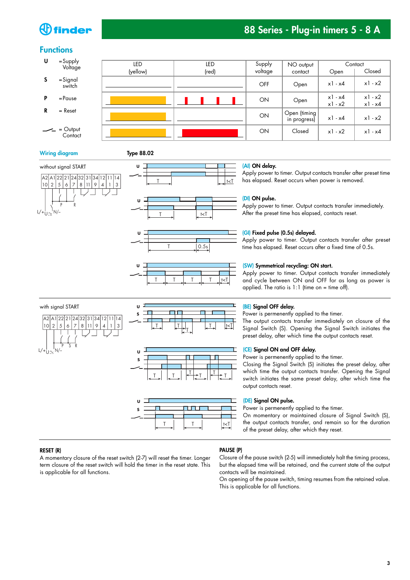# $\bigoplus$  finder

# **88 Series - Plug-in timers 5 - 8 A**

### **Functions**

| U | $=$ Supply<br>Voltage   | LED      | led   | Supply  | NO output                    | Contact                |                            |
|---|-------------------------|----------|-------|---------|------------------------------|------------------------|----------------------------|
|   |                         | (yellow) | (red) | voltage | contact                      | Open                   | Closed                     |
| S | =Signal<br>switch       |          |       | OFF     | Open                         | $x1 - x4$              | $x1 - x2$                  |
| P | $=$ Pause               |          |       | ON      | Open                         | $x1 - x4$<br>$x1 - x2$ | $x1 - x2$<br>$x$ ] - $x$ 4 |
| R | $=$ Reset               |          |       | ON      | Open (timing<br>in progress) | $x1 - x4$              | $x1 - x2$                  |
|   | $-$ = Output<br>Contact |          |       | ON      | Closed                       | $x1 - x2$              | $x1 - x4$                  |

#### **Wiring diagram Type 88.02**

P R

Լ/+¦լ <sub>∿</sub>' N/–

U









#### **(AI) ON delay.**

Apply power to timer. Output contacts transfer after preset time has elapsed. Reset occurs when power is removed.

#### **(DI) ON pulse.**

Apply power to timer. Output contacts transfer immediately. After the preset time has elapsed, contacts reset.

#### **(GI) Fixed pulse (0.5s) delayed.**

Apply power to timer. Output contacts transfer after preset time has elapsed. Reset occurs after a fixed time of 0.5s.

#### **(SW) Symmetrical recycling: ON start.**

Apply power to timer. Output contacts transfer immediately and cycle between ON and OFF for as long as power is applied. The ratio is  $1:1$  (time on = time off).

#### **(BE) Signal OFF delay.**

Power is permenently applied to the timer.

The output contacts transfer immediately on closure of the Signal Switch (S). Opening the Signal Switch initiates the preset delay, after which time the output contacts reset.

#### **(CE) Signal ON and OFF delay.**

Power is permenently applied to the timer.

Closing the Signal Switch (S) initiates the preset delay, after which time the output contacts transfer. Opening the Signal switch initiates the same preset delay, after which time the output contacts reset.

#### **(DE) Signal ON pulse.**

Power is permenently applied to the timer.

On momentary or maintained closure of Signal Switch (S), the output contacts transfer, and remain so for the duration of the preset delay, after which they reset.

#### **RESET (R)**

A momentary closure of the reset switch (2-7) will reset the timer. Longer term closure of the reset switch will hold the timer in the reset state. This is applicable for all functions.

#### **PAUSE (P)**

Closure of the pause switch (2-5) will immediately halt the timing process, but the elapsed time will be retained, and the current state of the output contacts will be maintained.

On opening of the pause switch, timing resumes from the retained value. This is applicable for all functions.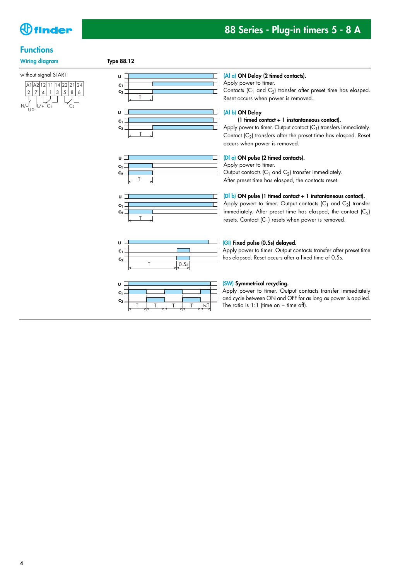

### **Functions**

#### **Wiring diagram Type 88.12**

without signal START















#### **(Al a) ON Delay (2 timed contacts).**

Apply power to timer.

Contacts ( $C_1$  and  $C_2$ ) transfer after preset time has elasped. Reset occurs when power is removed.

### **(Al b) ON Delay**

#### **(1 timed contact + 1 instantaneous contact).**

Apply power to timer. Output contact  $(C_1)$  transfers immediately. Contact  $(C_2)$  transfers after the preset time has elasped. Reset occurs when power is removed.

#### **(Dl a) ON pulse (2 timed contacts).**

Apply power to timer.

Output contacts  $(C_1$  and  $C_2$ ) transfer immediately. After preset time has elasped, the contacts reset.

#### **(Dl b) ON pulse (1 timed contact + 1 instantaneous contact).**

Apply powert to timer. Output contacts  $(C_1$  and  $C_2$ ) transfer immediately. After preset time has elasped, the contact  $(C_2)$ resets. Contact  $(C_1)$  resets when power is removed.

#### **(GI) Fixed pulse (0.5s) delayed.**

Apply power to timer. Output contacts transfer after preset time has elapsed. Reset occurs after a fixed time of 0.5s.

#### **(SW) Symmetrical recycling.**

Apply power to timer. Output contacts transfer immediately and cycle between ON and OFF for as long as power is applied. The ratio is  $1:1$  (time on = time off).